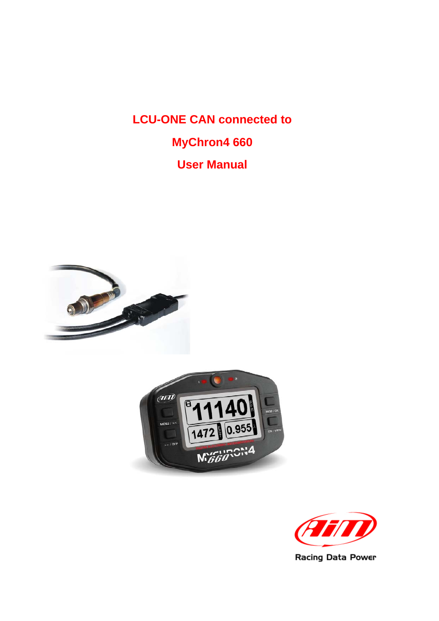**LCU-ONE CAN connected to MyChron4 660 User Manual**





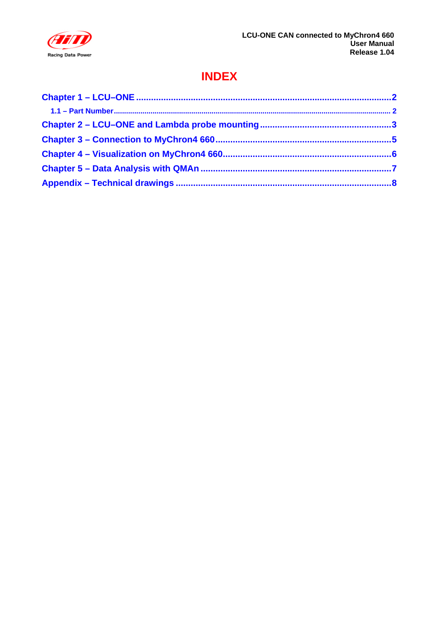

### **INDEX**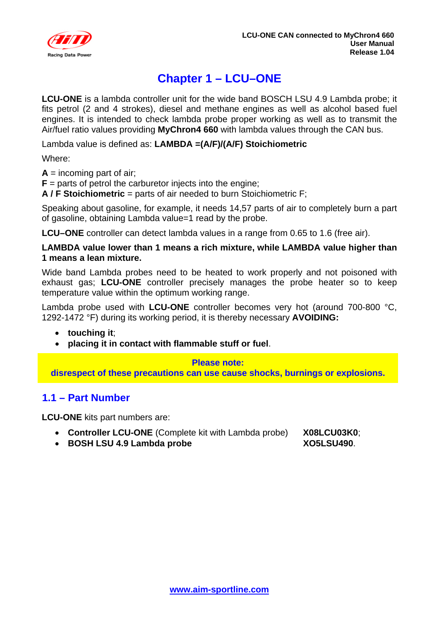<span id="page-2-0"></span>

## <sup>0</sup>**Chapter 1 – LCU–ONE**

**LCU-ONE** is a lambda controller unit for the wide band BOSCH LSU 4.9 Lambda probe; it fits petrol (2 and 4 strokes), diesel and methane engines as well as alcohol based fuel engines. It is intended to check lambda probe proper working as well as to transmit the Air/fuel ratio values providing **MyChron4 660** with lambda values through the CAN bus.

Lambda value is defined as: **LAMBDA =(A/F)/(A/F) Stoichiometric**

Where:

 $A =$  incoming part of air;

 **parts of petrol the carburetor injects into the engine:** 

**A / F Stoichiometric** = parts of air needed to burn Stoichiometric F;

Speaking about gasoline, for example, it needs 14,57 parts of air to completely burn a part of gasoline, obtaining Lambda value=1 read by the probe.

**LCU–ONE** controller can detect lambda values in a range from 0.65 to 1.6 (free air).

#### **LAMBDA value lower than 1 means a rich mixture, while LAMBDA value higher than 1 means a lean mixture.**

Wide band Lambda probes need to be heated to work properly and not poisoned with exhaust gas; **LCU-ONE** controller precisely manages the probe heater so to keep temperature value within the optimum working range.

Lambda probe used with **LCU-ONE** controller becomes very hot (around 700-800 °C, 1292-1472 °F) during its working period, it is thereby necessary **AVOIDING:** 

- **touching it**;
- **placing it in contact with flammable stuff or fuel**.

#### **Please note:**

**disrespect of these precautions can use cause shocks, burnings or explosions.** 

#### <sup>6</sup>**1.1 – Part Number**

**LCU-ONE** kits part numbers are:

- **Controller LCU-ONE** (Complete kit with Lambda probe) **X08LCU03K0**;
- **BOSH LSU 4.9 Lambda probe XO5LSU490**.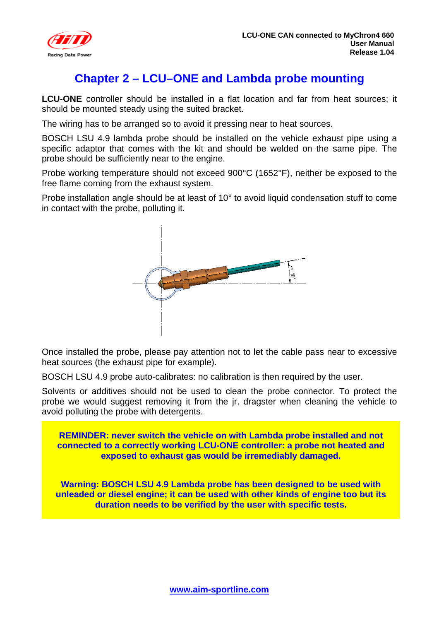<span id="page-3-0"></span>

#### <sup>1</sup>**Chapter 2 – LCU–ONE and Lambda probe mounting**

**LCU-ONE** controller should be installed in a flat location and far from heat sources; it should be mounted steady using the suited bracket.

The wiring has to be arranged so to avoid it pressing near to heat sources.

BOSCH LSU 4.9 lambda probe should be installed on the vehicle exhaust pipe using a specific adaptor that comes with the kit and should be welded on the same pipe. The probe should be sufficiently near to the engine.

Probe working temperature should not exceed 900°C (1652°F), neither be exposed to the free flame coming from the exhaust system.

Probe installation angle should be at least of 10° to avoid liquid condensation stuff to come in contact with the probe, polluting it.



Once installed the probe, please pay attention not to let the cable pass near to excessive heat sources (the exhaust pipe for example).

BOSCH LSU 4.9 probe auto-calibrates: no calibration is then required by the user.

Solvents or additives should not be used to clean the probe connector. To protect the probe we would suggest removing it from the jr. dragster when cleaning the vehicle to avoid polluting the probe with detergents.

**REMINDER: never switch the vehicle on with Lambda probe installed and not connected to a correctly working LCU-ONE controller: a probe not heated and exposed to exhaust gas would be irremediably damaged.** 

**Warning: BOSCH LSU 4.9 Lambda probe has been designed to be used with unleaded or diesel engine; it can be used with other kinds of engine too but its duration needs to be verified by the user with specific tests.**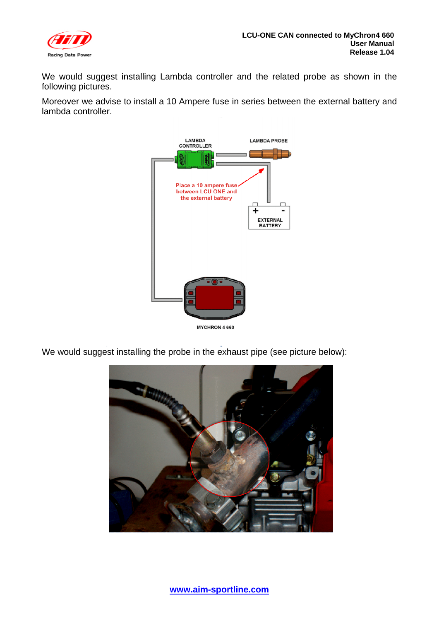

We would suggest installing Lambda controller and the related probe as shown in the following pictures.

Moreover we advise to install a 10 Ampere fuse in series between the external battery and lambda controller.



We would suggest installing the probe in the exhaust pipe (see picture below):

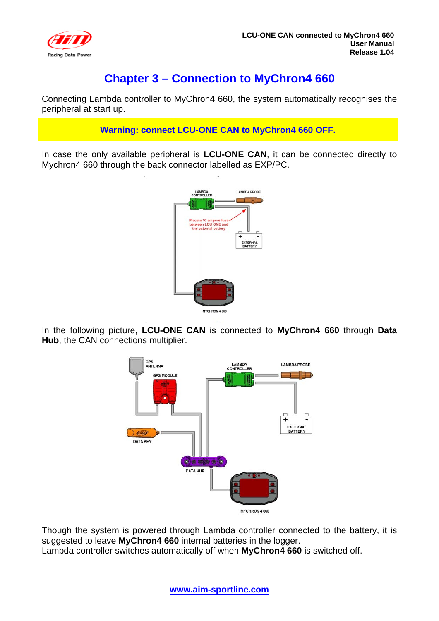<span id="page-5-0"></span>

#### <sup>2</sup>**Chapter 3 – Connection to MyChron4 660**

Connecting Lambda controller to MyChron4 660, the system automatically recognises the peripheral at start up.

**Warning: connect LCU-ONE CAN to MyChron4 660 OFF.** 

In case the only available peripheral is **LCU-ONE CAN**, it can be connected directly to Mychron4 660 through the back connector labelled as EXP/PC.



In the following picture, **LCU-ONE CAN** is connected to **MyChron4 660** through **Data Hub**, the CAN connections multiplier.



Though the system is powered through Lambda controller connected to the battery, it is suggested to leave **MyChron4 660** internal batteries in the logger. Lambda controller switches automatically off when **MyChron4 660** is switched off.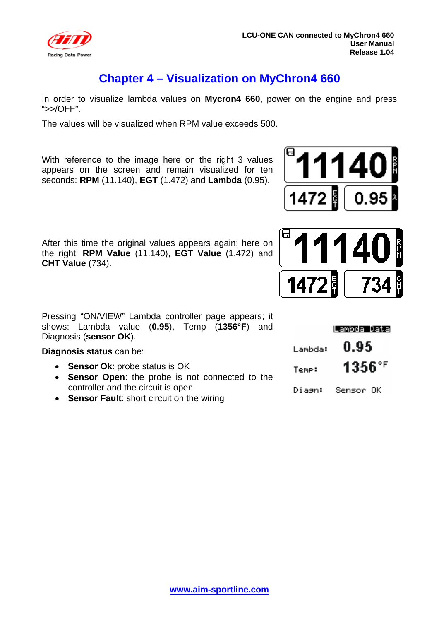<span id="page-6-0"></span>

#### <sup>3</sup>**Chapter 4 – Visualization on MyChron4 660**

In order to visualize lambda values on **Mycron4 660**, power on the engine and press ">>/OFF".

The values will be visualized when RPM value exceeds 500.

With reference to the image here on the right 3 values appears on the screen and remain visualized for ten seconds: **RPM** (11.140), **EGT** (1.472) and **Lambda** (0.95).





After this time the original values appears again: here on the right: **RPM Value** (11.140), **EGT Value** (1.472) and **CHT Value** (734).

Pressing "ON/VIEW" Lambda controller page appears; it shows: Lambda value (**0.95**), Temp (**1356°F**) and Diagnosis (**sensor OK**).

**Diagnosis status** can be:

- **Sensor Ok**: probe status is OK
- **Sensor Open**: the probe is not connected to the controller and the circuit is open
- **Sensor Fault**: short circuit on the wiring

|         | Lambda Data |
|---------|-------------|
| Lambda: | 0.95        |
| Temp:   | 1356°F      |
| Diagn:  | Sensor OK   |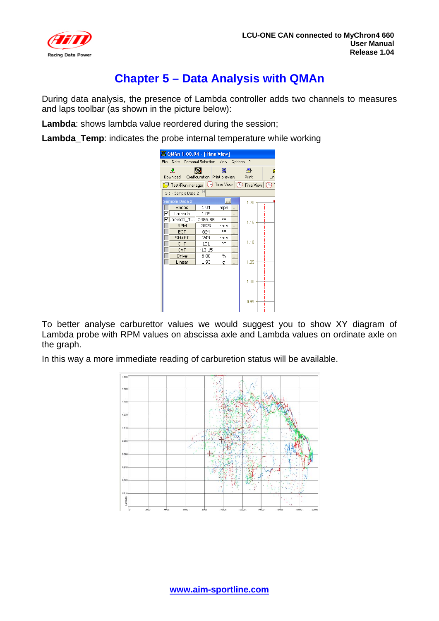<span id="page-7-0"></span>

### <sup>4</sup>**Chapter 5 – Data Analysis with QMAn**

During data analysis, the presence of Lambda controller adds two channels to measures and laps toolbar (as shown in the picture below):

**Lambda**: shows lambda value reordered during the session;

**Lambda\_Temp**: indicates the probe internal temperature while working

| 3 OMAn 1.00.04 - [Time View]                                                                  |          |                                  |          |            |     |
|-----------------------------------------------------------------------------------------------|----------|----------------------------------|----------|------------|-----|
| Data Personal Selection View<br><b>File</b>                                                   |          |                                  | Options  | -7         |     |
| 오<br>Download                                                                                 |          | ▣<br>Configuration Print preview |          | 刍<br>Print | Unl |
| $\Box$ Test/Run manager $\ket{\ominus}$ Time View $\ket{\ominus}$ Time View $\ket{\ominus}$ 1 |          |                                  |          |            |     |
| 1-1 - Sample Data 2                                                                           |          |                                  |          |            |     |
| <b>Sample Data 2</b>                                                                          |          |                                  |          | 1.20       |     |
| Speed                                                                                         | 1.91     | mph                              |          |            |     |
| Lambda                                                                                        | 1.09     |                                  |          |            |     |
| Lambda_T                                                                                      | 2486.88  | ᅂ                                | $\cdots$ | 1.15       |     |
| <b>RPM</b>                                                                                    | 3829     | rpm                              |          |            |     |
| <b>EGT</b>                                                                                    | 664      | ᅂ                                |          |            |     |
| <b>SHAFT</b>                                                                                  | 243      | rpm                              | .        |            |     |
| <b>CHT</b>                                                                                    | 131      | ᅂ                                | .        | 1.10       |     |
| <b>CVT</b>                                                                                    | $-13.15$ |                                  |          |            |     |
| Drive                                                                                         | 6.08     | %                                |          |            |     |
| Linear                                                                                        | 1.93     | q                                | .        | 1.05       |     |
|                                                                                               |          |                                  |          | 1.00       |     |
|                                                                                               |          |                                  |          | 0.95       |     |

To better analyse carburettor values we would suggest you to show XY diagram of Lambda probe with RPM values on abscissa axle and Lambda values on ordinate axle on the graph.

In this way a more immediate reading of carburetion status will be available.

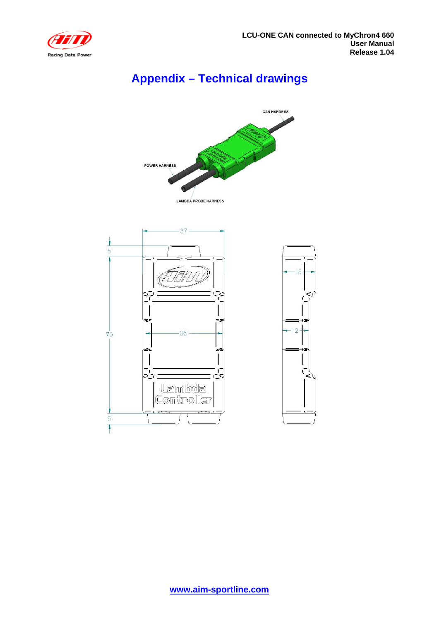<span id="page-8-0"></span>

## 5**Appendix – Technical drawings**